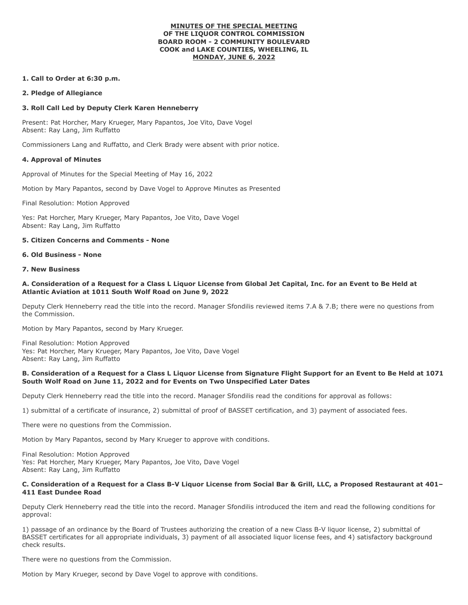#### **MINUTES OF THE SPECIAL MEETING OF THE LIQUOR CONTROL COMMISSION BOARD ROOM - 2 COMMUNITY BOULEVARD COOK and LAKE COUNTIES, WHEELING, IL MONDAY, JUNE 6, 2022**

## **1. Call to Order at 6:30 p.m.**

## **2. Pledge of Allegiance**

# **3. Roll Call Led by Deputy Clerk Karen Henneberry**

Present: Pat Horcher, Mary Krueger, Mary Papantos, Joe Vito, Dave Vogel Absent: Ray Lang, Jim Ruffatto

Commissioners Lang and Ruffatto, and Clerk Brady were absent with prior notice.

## **4. Approval of Minutes**

Approval of Minutes for the Special Meeting of May 16, 2022

Motion by Mary Papantos, second by Dave Vogel to Approve Minutes as Presented

Final Resolution: Motion Approved

Yes: Pat Horcher, Mary Krueger, Mary Papantos, Joe Vito, Dave Vogel Absent: Ray Lang, Jim Ruffatto

# **5. Citizen Concerns and Comments - None**

# **6. Old Business - None**

**7. New Business**

## **A. Consideration of a Request for a Class L Liquor License from Global Jet Capital, Inc. for an Event to Be Held at Atlantic Aviation at 1011 South Wolf Road on June 9, 2022**

Deputy Clerk Henneberry read the title into the record. Manager Sfondilis reviewed items 7.A & 7.B; there were no questions from the Commission.

Motion by Mary Papantos, second by Mary Krueger.

Final Resolution: Motion Approved Yes: Pat Horcher, Mary Krueger, Mary Papantos, Joe Vito, Dave Vogel Absent: Ray Lang, Jim Ruffatto

## **B. Consideration of a Request for a Class L Liquor License from Signature Flight Support for an Event to Be Held at 1071 South Wolf Road on June 11, 2022 and for Events on Two Unspecified Later Dates**

Deputy Clerk Henneberry read the title into the record. Manager Sfondilis read the conditions for approval as follows:

1) submittal of a certificate of insurance, 2) submittal of proof of BASSET certification, and 3) payment of associated fees.

There were no questions from the Commission.

Motion by Mary Papantos, second by Mary Krueger to approve with conditions.

Final Resolution: Motion Approved Yes: Pat Horcher, Mary Krueger, Mary Papantos, Joe Vito, Dave Vogel Absent: Ray Lang, Jim Ruffatto

## **C. Consideration of a Request for a Class B-V Liquor License from Social Bar & Grill, LLC, a Proposed Restaurant at 401– 411 East Dundee Road**

Deputy Clerk Henneberry read the title into the record. Manager Sfondilis introduced the item and read the following conditions for approval:

1) passage of an ordinance by the Board of Trustees authorizing the creation of a new Class B-V liquor license, 2) submittal of BASSET certificates for all appropriate individuals, 3) payment of all associated liquor license fees, and 4) satisfactory background check results.

There were no questions from the Commission.

Motion by Mary Krueger, second by Dave Vogel to approve with conditions.